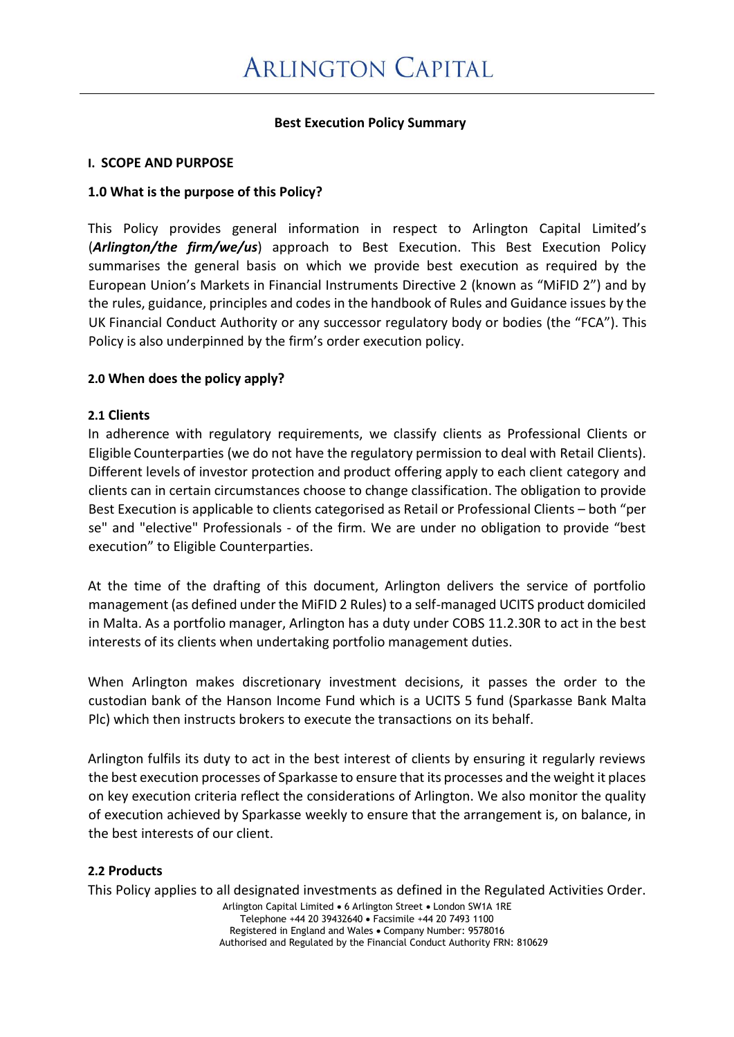## **Best Execution Policy Summary**

#### **I. SCOPE AND PURPOSE**

### **1.0 What is the purpose of this Policy?**

This Policy provides general information in respect to Arlington Capital Limited's (*Arlington/the firm/we/us*) approach to Best Execution. This Best Execution Policy summarises the general basis on which we provide best execution as required by the European Union's Markets in Financial Instruments Directive 2 (known as "MiFID 2") and by the rules, guidance, principles and codes in the handbook of Rules and Guidance issues by the UK Financial Conduct Authority or any successor regulatory body or bodies (the "FCA"). This Policy is also underpinned by the firm's order execution policy.

#### **2.0 When does the policy apply?**

#### **2.1 Clients**

In adherence with regulatory requirements, we classify clients as Professional Clients or Eligible Counterparties (we do not have the regulatory permission to deal with Retail Clients). Different levels of investor protection and product offering apply to each client category and clients can in certain circumstances choose to change classification. The obligation to provide Best Execution is applicable to clients categorised as Retail or Professional Clients – both "per se" and "elective" Professionals - of the firm. We are under no obligation to provide "best execution" to Eligible Counterparties.

At the time of the drafting of this document, Arlington delivers the service of portfolio management (as defined under the MiFID 2 Rules) to a self-managed UCITS product domiciled in Malta. As a portfolio manager, Arlington has a duty under COBS 11.2.30R to act in the best interests of its clients when undertaking portfolio management duties.

When Arlington makes discretionary investment decisions, it passes the order to the custodian bank of the Hanson Income Fund which is a UCITS 5 fund (Sparkasse Bank Malta Plc) which then instructs brokers to execute the transactions on its behalf.

Arlington fulfils its duty to act in the best interest of clients by ensuring it regularly reviews the best execution processes of Sparkasse to ensure that its processes and the weight it places on key execution criteria reflect the considerations of Arlington. We also monitor the quality of execution achieved by Sparkasse weekly to ensure that the arrangement is, on balance, in the best interests of our client.

### **2.2 Products**

This Policy applies to all designated investments as defined in the Regulated Activities Order.

Arlington Capital Limited • 6 Arlington Street • London SW1A 1RE Telephone +44 20 39432640 • Facsimile +44 20 7493 1100 Registered in England and Wales • Company Number: 9578016 Authorised and Regulated by the Financial Conduct Authority FRN: 810629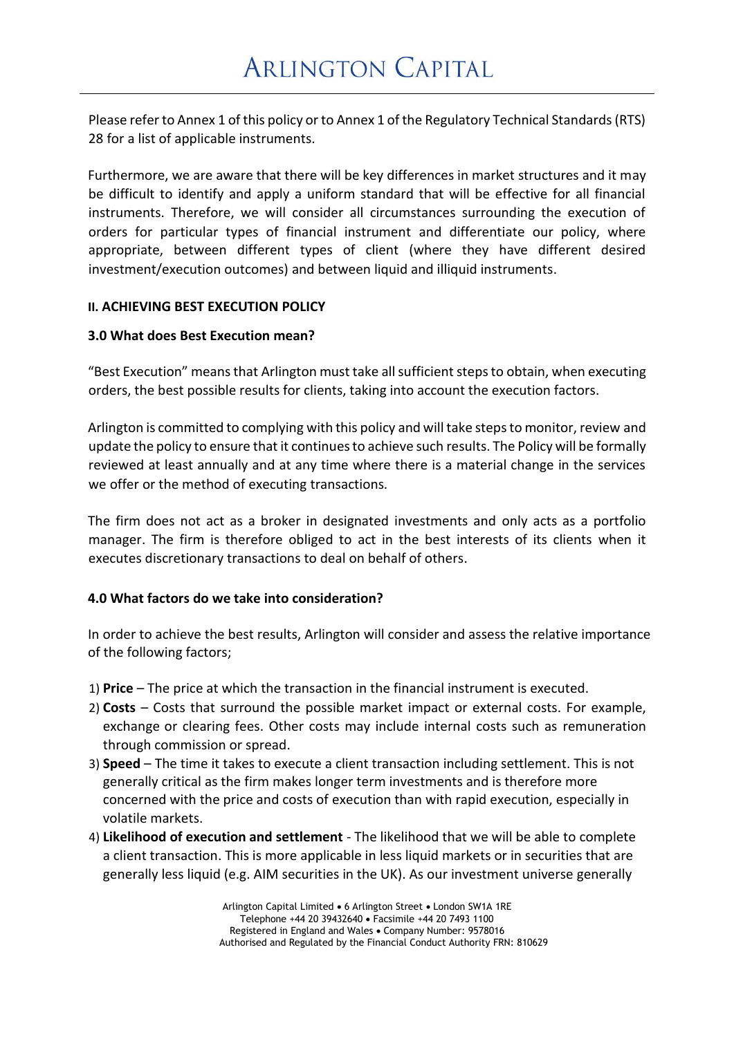Please refer to Annex 1 of this policy or to Annex 1 of the Regulatory Technical Standards (RTS) 28 for a list of applicable instruments.

Furthermore, we are aware that there will be key differences in market structures and it may be difficult to identify and apply a uniform standard that will be effective for all financial instruments. Therefore, we will consider all circumstances surrounding the execution of orders for particular types of financial instrument and differentiate our policy, where appropriate, between different types of client (where they have different desired investment/execution outcomes) and between liquid and illiquid instruments.

### **II. ACHIEVING BEST EXECUTION POLICY**

## **3.0 What does Best Execution mean?**

"Best Execution" meansthat Arlington must take allsufficient stepsto obtain, when executing orders, the best possible results for clients, taking into account the execution factors.

Arlington is committed to complying with this policy and will take stepsto monitor, review and update the policy to ensure that it continues to achieve such results. The Policy will be formally reviewed at least annually and at any time where there is a material change in the services we offer or the method of executing transactions.

The firm does not act as a broker in designated investments and only acts as a portfolio manager. The firm is therefore obliged to act in the best interests of its clients when it executes discretionary transactions to deal on behalf of others.

## **4.0 What factors do we take into consideration?**

In order to achieve the best results, Arlington will consider and assess the relative importance of the following factors;

- 1) **Price**  The price at which the transaction in the financial instrument is executed.
- 2) **Costs** Costs that surround the possible market impact or external costs. For example, exchange or clearing fees. Other costs may include internal costs such as remuneration through commission or spread.
- 3) **Speed**  The time it takes to execute a client transaction including settlement. This is not generally critical as the firm makes longer term investments and is therefore more concerned with the price and costs of execution than with rapid execution, especially in volatile markets.
- 4) **Likelihood of execution and settlement**  The likelihood that we will be able to complete a client transaction. This is more applicable in less liquid markets or in securities that are generally less liquid (e.g. AIM securities in the UK). As our investment universe generally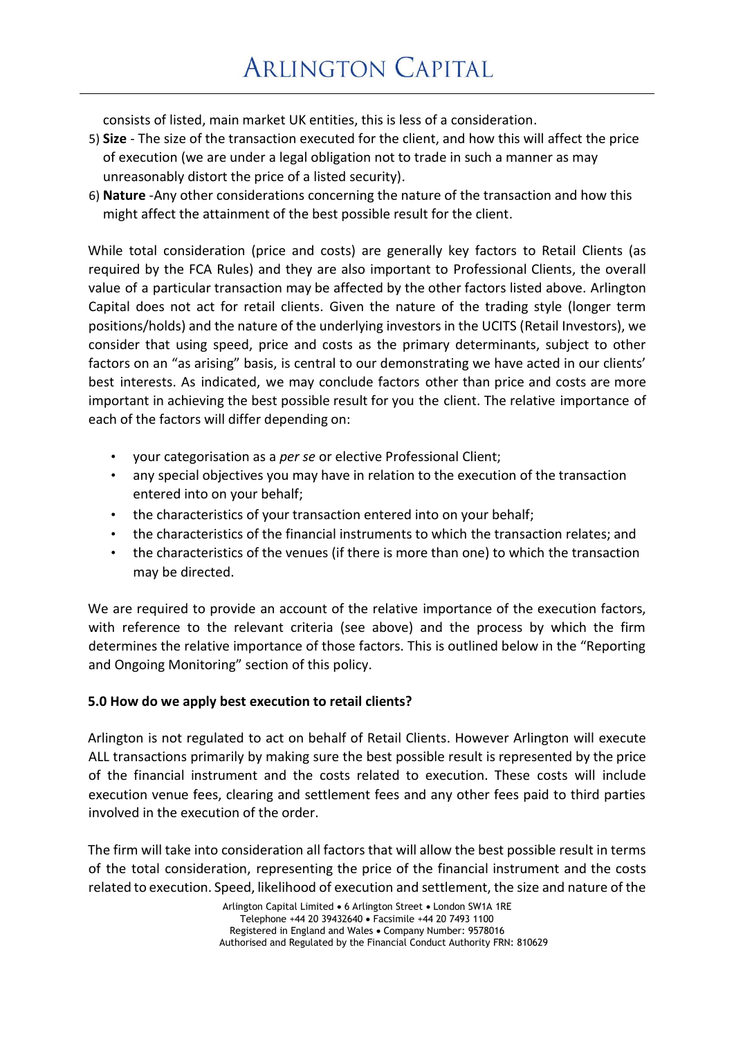consists of listed, main market UK entities, this is less of a consideration.

- 5) **Size**  The size of the transaction executed for the client, and how this will affect the price of execution (we are under a legal obligation not to trade in such a manner as may unreasonably distort the price of a listed security).
- 6) **Nature** -Any other considerations concerning the nature of the transaction and how this might affect the attainment of the best possible result for the client.

While total consideration (price and costs) are generally key factors to Retail Clients (as required by the FCA Rules) and they are also important to Professional Clients, the overall value of a particular transaction may be affected by the other factors listed above. Arlington Capital does not act for retail clients. Given the nature of the trading style (longer term positions/holds) and the nature of the underlying investors in the UCITS (Retail Investors), we consider that using speed, price and costs as the primary determinants, subject to other factors on an "as arising" basis, is central to our demonstrating we have acted in our clients' best interests. As indicated, we may conclude factors other than price and costs are more important in achieving the best possible result for you the client. The relative importance of each of the factors will differ depending on:

- your categorisation as a *per se* or elective Professional Client;
- any special objectives you may have in relation to the execution of the transaction entered into on your behalf;
- the characteristics of your transaction entered into on your behalf;
- the characteristics of the financial instruments to which the transaction relates; and
- the characteristics of the venues (if there is more than one) to which the transaction may be directed.

We are required to provide an account of the relative importance of the execution factors, with reference to the relevant criteria (see above) and the process by which the firm determines the relative importance of those factors. This is outlined below in the "Reporting and Ongoing Monitoring" section of this policy.

## **5.0 How do we apply best execution to retail clients?**

Arlington is not regulated to act on behalf of Retail Clients. However Arlington will execute ALL transactions primarily by making sure the best possible result is represented by the price of the financial instrument and the costs related to execution. These costs will include execution venue fees, clearing and settlement fees and any other fees paid to third parties involved in the execution of the order.

The firm will take into consideration all factors that will allow the best possible result in terms of the total consideration, representing the price of the financial instrument and the costs related to execution. Speed, likelihood of execution and settlement, the size and nature of the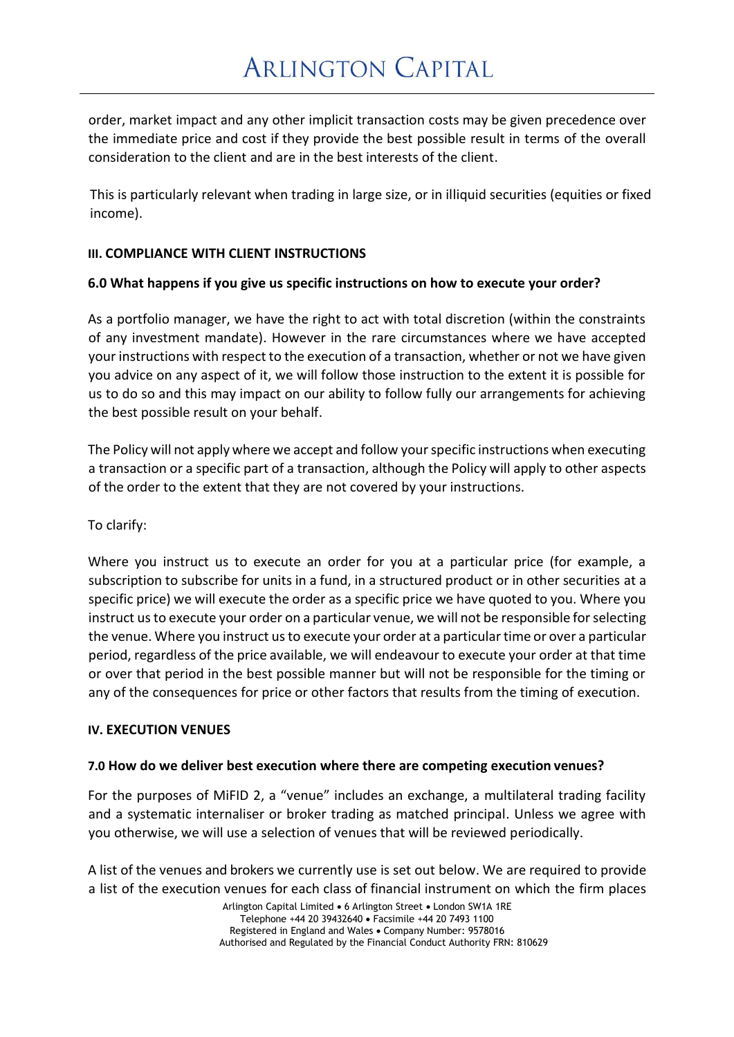order, market impact and any other implicit transaction costs may be given precedence over the immediate price and cost if they provide the best possible result in terms of the overall consideration to the client and are in the best interests of the client.

This is particularly relevant when trading in large size, or in illiquid securities (equities or fixed income).

## **III. COMPLIANCE WITH CLIENT INSTRUCTIONS**

## **6.0 What happens if you give us specific instructions on how to execute your order?**

As a portfolio manager, we have the right to act with total discretion (within the constraints of any investment mandate). However in the rare circumstances where we have accepted your instructions with respect to the execution of a transaction, whether or not we have given you advice on any aspect of it, we will follow those instruction to the extent it is possible for us to do so and this may impact on our ability to follow fully our arrangements for achieving the best possible result on your behalf.

The Policy will not apply where we accept and follow your specific instructions when executing a transaction or a specific part of a transaction, although the Policy will apply to other aspects of the order to the extent that they are not covered by your instructions.

To clarify:

Where you instruct us to execute an order for you at a particular price (for example, a subscription to subscribe for units in a fund, in a structured product or in other securities at a specific price) we will execute the order as a specific price we have quoted to you. Where you instruct us to execute your order on a particular venue, we will not be responsible forselecting the venue. Where you instruct us to execute your order at a particular time or over a particular period, regardless of the price available, we will endeavour to execute your order at that time or over that period in the best possible manner but will not be responsible for the timing or any of the consequences for price or other factors that results from the timing of execution.

### **IV. EXECUTION VENUES**

### **7.0 How do we deliver best execution where there are competing execution venues?**

For the purposes of MiFID 2, a "venue" includes an exchange, a multilateral trading facility and a systematic internaliser or broker trading as matched principal. Unless we agree with you otherwise, we will use a selection of venues that will be reviewed periodically.

A list of the venues and brokers we currently use is set out below. We are required to provide a list of the execution venues for each class of financial instrument on which the firm places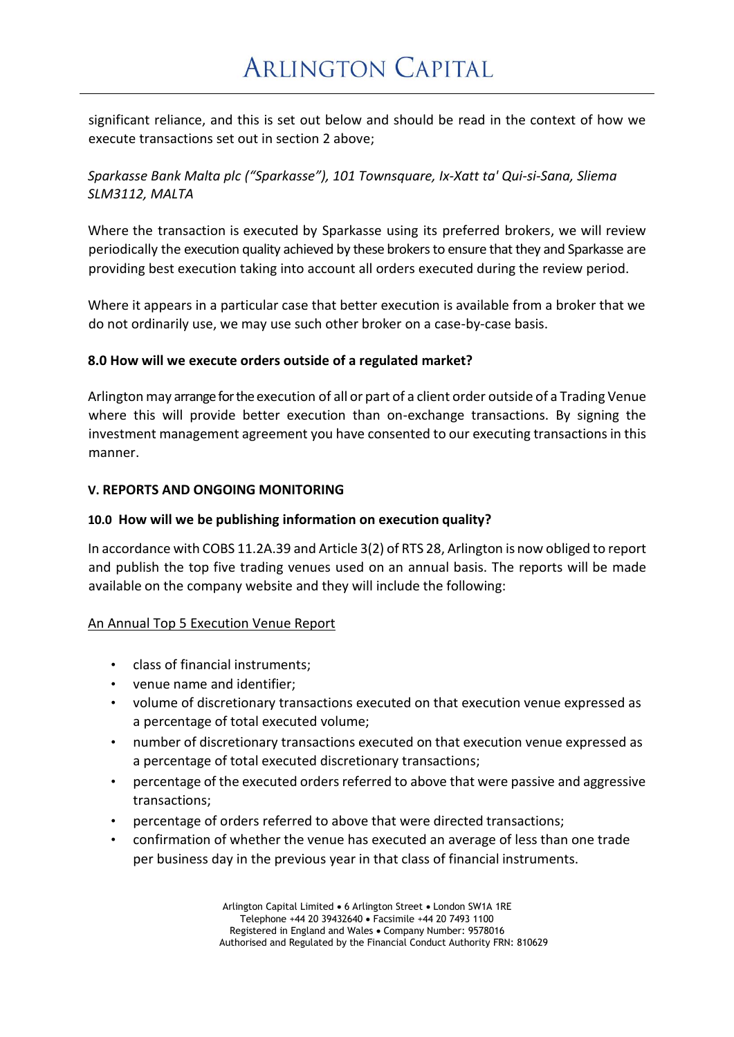significant reliance, and this is set out below and should be read in the context of how we execute transactions set out in section 2 above;

# *Sparkasse Bank Malta plc ("Sparkasse"), 101 Townsquare, Ix-Xatt ta' Qui-si-Sana, Sliema SLM3112, MALTA*

Where the transaction is executed by Sparkasse using its preferred brokers, we will review periodically the execution quality achieved by these brokers to ensure that they and Sparkasse are providing best execution taking into account all orders executed during the review period.

Where it appears in a particular case that better execution is available from a broker that we do not ordinarily use, we may use such other broker on a case-by-case basis.

## **8.0 How will we execute orders outside of a regulated market?**

Arlington may arrange for the execution of all or part of a client order outside of a Trading Venue where this will provide better execution than on-exchange transactions. By signing the investment management agreement you have consented to our executing transactions in this manner.

## **V. REPORTS AND ONGOING MONITORING**

### **10.0 How will we be publishing information on execution quality?**

In accordance with COBS 11.2A.39 and Article 3(2) of RTS 28, Arlington is now obliged to report and publish the top five trading venues used on an annual basis. The reports will be made available on the company website and they will include the following:

### An Annual Top 5 Execution Venue Report

- class of financial instruments;
- venue name and identifier;
- volume of discretionary transactions executed on that execution venue expressed as a percentage of total executed volume;
- number of discretionary transactions executed on that execution venue expressed as a percentage of total executed discretionary transactions;
- percentage of the executed orders referred to above that were passive and aggressive transactions;
- percentage of orders referred to above that were directed transactions;
- confirmation of whether the venue has executed an average of less than one trade per business day in the previous year in that class of financial instruments.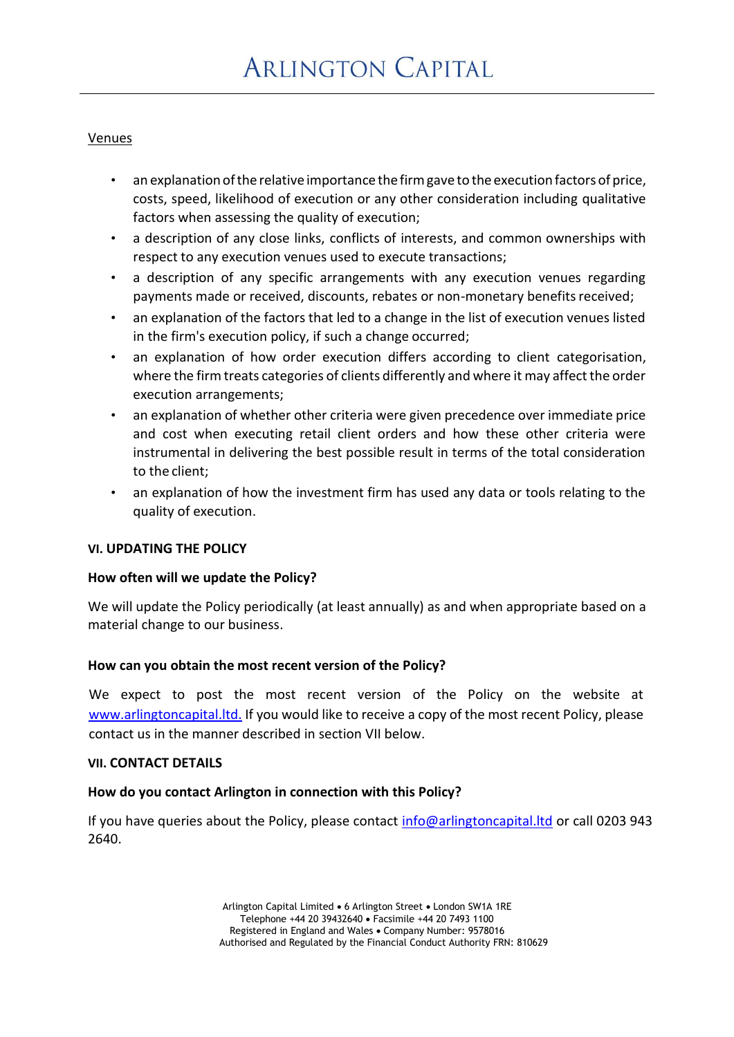### Venues

- an explanation of the relative importance the firm gave to the execution factors of price, costs, speed, likelihood of execution or any other consideration including qualitative factors when assessing the quality of execution;
- a description of any close links, conflicts of interests, and common ownerships with respect to any execution venues used to execute transactions;
- a description of any specific arrangements with any execution venues regarding payments made or received, discounts, rebates or non-monetary benefits received;
- an explanation of the factors that led to a change in the list of execution venues listed in the firm's execution policy, if such a change occurred;
- an explanation of how order execution differs according to client categorisation, where the firm treats categories of clients differently and where it may affect the order execution arrangements;
- an explanation of whether other criteria were given precedence over immediate price and cost when executing retail client orders and how these other criteria were instrumental in delivering the best possible result in terms of the total consideration to the client;
- an explanation of how the investment firm has used any data or tools relating to the quality of execution.

### **VI. UPDATING THE POLICY**

### **How often will we update the Policy?**

We will update the Policy periodically (at least annually) as and when appropriate based on a material change to our business.

### **How can you obtain the most recent version of the Policy?**

We expect to post the most recent version of the Policy on the website at [www.arlingtoncapital.ltd.](http://www.arlingtoncapital.ltd/) If you would like to receive a copy of the most recent Policy, please contact us in the manner described in section VII below.

### **VII. CONTACT DETAILS**

### **How do you contact Arlington in connection with this Policy?**

If you have queries about the Policy, please contact info@arlingtoncapital. Itd or call 0203 943 2640.